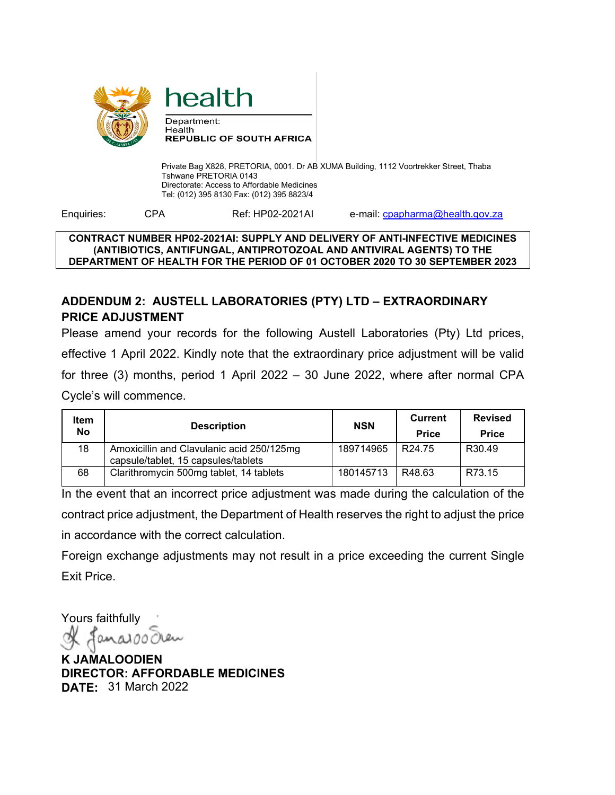

health

Private Bag X828, PRETORIA, 0001. Dr AB XUMA Building, 1112 Voortrekker Street, Thaba Tshwane PRETORIA 0143 Directorate: Access to Affordable Medicines Tel: (012) 395 8130 Fax: (012) 395 8823/4

Enquiries: CPA Ref: HP02-2021AI e-mail: cpapharma@health.gov.za

### **CONTRACT NUMBER HP02-2021AI: SUPPLY AND DELIVERY OF ANTI-INFECTIVE MEDICINES (ANTIBIOTICS, ANTIFUNGAL, ANTIPROTOZOAL AND ANTIVIRAL AGENTS) TO THE DEPARTMENT OF HEALTH FOR THE PERIOD OF 01 OCTOBER 2020 TO 30 SEPTEMBER 2023**

## **ADDENDUM 2: AUSTELL LABORATORIES (PTY) LTD – EXTRAORDINARY PRICE ADJUSTMENT**

Please amend your records for the following Austell Laboratories (Pty) Ltd prices, effective 1 April 2022. Kindly note that the extraordinary price adjustment will be valid for three (3) months, period 1 April 2022 – 30 June 2022, where after normal CPA Cycle's will commence.

| <b>Item</b><br><b>No</b> | <b>Description</b>                                                               | <b>NSN</b> | Current<br><b>Price</b> | <b>Revised</b><br><b>Price</b> |
|--------------------------|----------------------------------------------------------------------------------|------------|-------------------------|--------------------------------|
| 18                       | Amoxicillin and Clavulanic acid 250/125mg<br>capsule/tablet, 15 capsules/tablets | 189714965  | R <sub>24.75</sub>      | R30.49                         |
| 68                       | Clarithromycin 500mg tablet, 14 tablets                                          | 180145713  | R48.63                  | R73.15                         |

In the event that an incorrect price adjustment was made during the calculation of the contract price adjustment, the Department of Health reserves the right to adjust the price in accordance with the correct calculation.

Foreign exchange adjustments may not result in a price exceeding the current Single Exit Price.

Yours faithfully anaio

**K JAMALOODIEN DIRECTOR: AFFORDABLE MEDICINES DATE:** 31 March 2022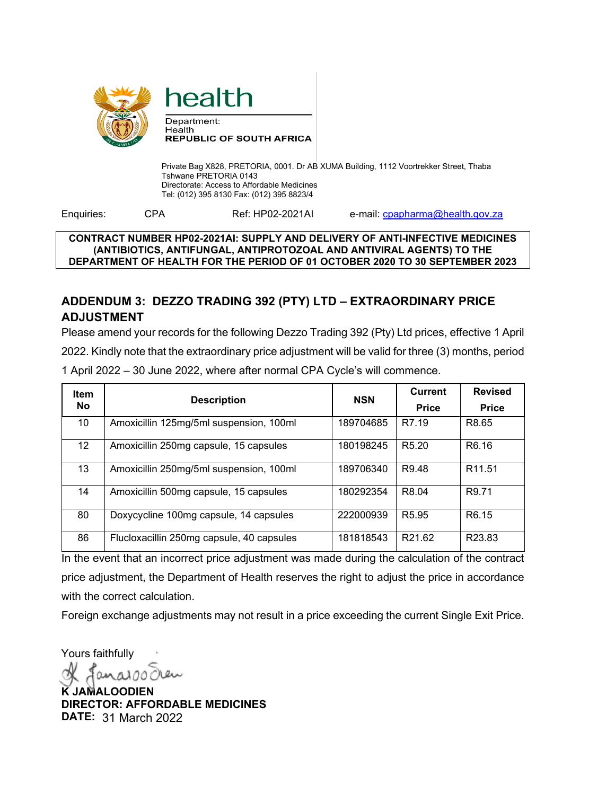

health

Private Bag X828, PRETORIA, 0001. Dr AB XUMA Building, 1112 Voortrekker Street, Thaba Tshwane PRETORIA 0143 Directorate: Access to Affordable Medicines Tel: (012) 395 8130 Fax: (012) 395 8823/4

Enquiries: CPA Ref: HP02-2021AI e-mail: cpapharma@health.gov.za

#### **CONTRACT NUMBER HP02-2021AI: SUPPLY AND DELIVERY OF ANTI-INFECTIVE MEDICINES (ANTIBIOTICS, ANTIFUNGAL, ANTIPROTOZOAL AND ANTIVIRAL AGENTS) TO THE DEPARTMENT OF HEALTH FOR THE PERIOD OF 01 OCTOBER 2020 TO 30 SEPTEMBER 2023**

# **ADDENDUM 3: DEZZO TRADING 392 (PTY) LTD – EXTRAORDINARY PRICE ADJUSTMENT**

Please amend your records for the following Dezzo Trading 392 (Pty) Ltd prices, effective 1 April 2022. Kindly note that the extraordinary price adjustment will be valid for three (3) months, period 1 April 2022 – 30 June 2022, where after normal CPA Cycle's will commence.

| <b>Item</b>     | <b>Description</b>                        | <b>NSN</b> | <b>Current</b>     | <b>Revised</b>     |
|-----------------|-------------------------------------------|------------|--------------------|--------------------|
| No              |                                           |            | <b>Price</b>       | <b>Price</b>       |
| 10              | Amoxicillin 125mg/5ml suspension, 100ml   | 189704685  | R7.19              | R8.65              |
| 12 <sup>2</sup> | Amoxicillin 250mg capsule, 15 capsules    | 180198245  | R <sub>5.20</sub>  | R <sub>6.16</sub>  |
| 13 <sup>°</sup> | Amoxicillin 250mg/5ml suspension, 100ml   | 189706340  | R <sub>9</sub> .48 | R <sub>11.51</sub> |
| 14              | Amoxicillin 500mg capsule, 15 capsules    | 180292354  | R8.04              | R9.71              |
| 80              | Doxycycline 100mg capsule, 14 capsules    | 222000939  | R <sub>5.95</sub>  | R <sub>6.15</sub>  |
| 86              | Flucloxacillin 250mg capsule, 40 capsules | 181818543  | R <sub>21.62</sub> | R <sub>23.83</sub> |

In the event that an incorrect price adjustment was made during the calculation of the contract price adjustment, the Department of Health reserves the right to adjust the price in accordance with the correct calculation.

Foreign exchange adjustments may not result in a price exceeding the current Single Exit Price.

Yours faithfully

**K JAMALOODIEN DIRECTOR: AFFORDABLE MEDICINES DATE:** 31 March 2022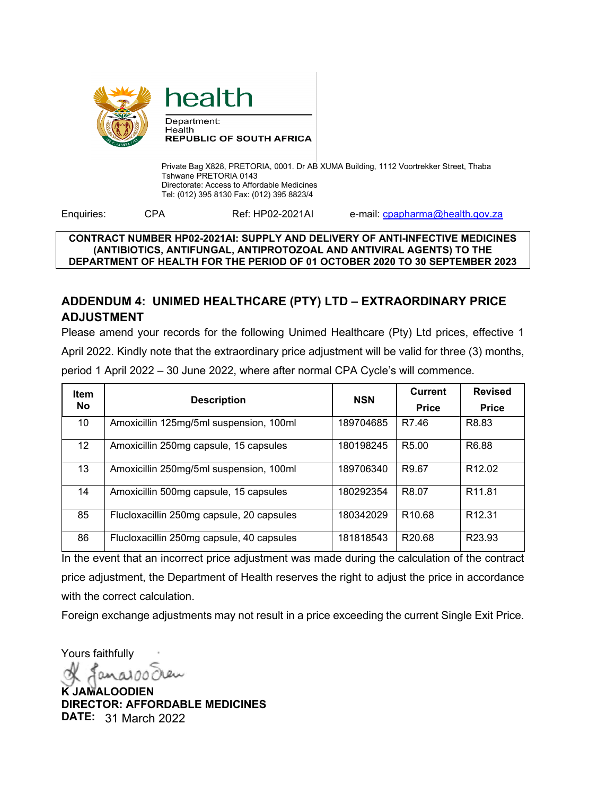

health

Private Bag X828, PRETORIA, 0001. Dr AB XUMA Building, 1112 Voortrekker Street, Thaba Tshwane PRETORIA 0143 Directorate: Access to Affordable Medicines Tel: (012) 395 8130 Fax: (012) 395 8823/4

Enquiries: CPA Ref: HP02-2021AI e-mail: cpapharma@health.gov.za

#### **CONTRACT NUMBER HP02-2021AI: SUPPLY AND DELIVERY OF ANTI-INFECTIVE MEDICINES (ANTIBIOTICS, ANTIFUNGAL, ANTIPROTOZOAL AND ANTIVIRAL AGENTS) TO THE DEPARTMENT OF HEALTH FOR THE PERIOD OF 01 OCTOBER 2020 TO 30 SEPTEMBER 2023**

## **ADDENDUM 4: UNIMED HEALTHCARE (PTY) LTD – EXTRAORDINARY PRICE ADJUSTMENT**

Please amend your records for the following Unimed Healthcare (Pty) Ltd prices, effective 1 April 2022. Kindly note that the extraordinary price adjustment will be valid for three (3) months, period 1 April 2022 – 30 June 2022, where after normal CPA Cycle's will commence.

| <b>Item</b>     | <b>Description</b>                        | <b>NSN</b> | <b>Current</b>               | <b>Revised</b>     |
|-----------------|-------------------------------------------|------------|------------------------------|--------------------|
| No              |                                           |            | <b>Price</b><br><b>Price</b> |                    |
| 10              | Amoxicillin 125mg/5ml suspension, 100ml   | 189704685  | R7.46                        | R8.83              |
| 12 <sup>2</sup> | Amoxicillin 250mg capsule, 15 capsules    | 180198245  | R <sub>5.00</sub>            | R <sub>6.88</sub>  |
| 13              | Amoxicillin 250mg/5ml suspension, 100ml   | 189706340  | R9.67                        | R <sub>12.02</sub> |
| 14              | Amoxicillin 500mg capsule, 15 capsules    | 180292354  | R8.07                        | R <sub>11.81</sub> |
| 85              | Flucloxacillin 250mg capsule, 20 capsules | 180342029  | R <sub>10.68</sub>           | R <sub>12.31</sub> |
| 86              | Flucloxacillin 250mg capsule, 40 capsules | 181818543  | R <sub>20.68</sub>           | R <sub>23.93</sub> |

In the event that an incorrect price adjustment was made during the calculation of the contract price adjustment, the Department of Health reserves the right to adjust the price in accordance with the correct calculation.

Foreign exchange adjustments may not result in a price exceeding the current Single Exit Price.

Yours faithfully

**K JAMALOODIEN DIRECTOR: AFFORDABLE MEDICINES DATE:** 31 March 2022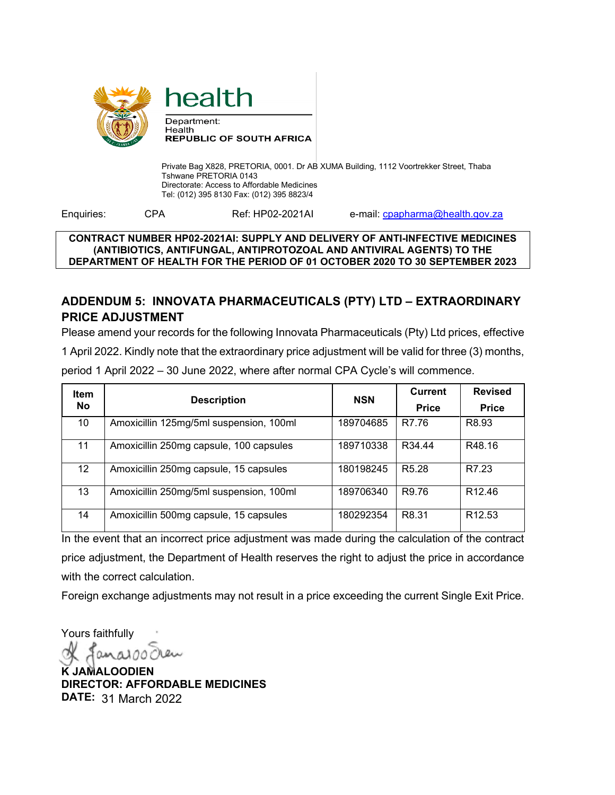

health

Private Bag X828, PRETORIA, 0001. Dr AB XUMA Building, 1112 Voortrekker Street, Thaba Tshwane PRETORIA 0143 Directorate: Access to Affordable Medicines Tel: (012) 395 8130 Fax: (012) 395 8823/4

Enquiries: CPA Ref: HP02-2021AI e-mail: cpapharma@health.gov.za

### **CONTRACT NUMBER HP02-2021AI: SUPPLY AND DELIVERY OF ANTI-INFECTIVE MEDICINES (ANTIBIOTICS, ANTIFUNGAL, ANTIPROTOZOAL AND ANTIVIRAL AGENTS) TO THE DEPARTMENT OF HEALTH FOR THE PERIOD OF 01 OCTOBER 2020 TO 30 SEPTEMBER 2023**

## **ADDENDUM 5: INNOVATA PHARMACEUTICALS (PTY) LTD – EXTRAORDINARY PRICE ADJUSTMENT**

Please amend your records for the following Innovata Pharmaceuticals (Pty) Ltd prices, effective 1 April 2022. Kindly note that the extraordinary price adjustment will be valid for three (3) months, period 1 April 2022 – 30 June 2022, where after normal CPA Cycle's will commence.

| <b>Item</b>     | <b>Description</b>                      | <b>NSN</b> | <b>Current</b>    | <b>Revised</b>     |
|-----------------|-----------------------------------------|------------|-------------------|--------------------|
| No              |                                         |            | <b>Price</b>      | <b>Price</b>       |
| 10              | Amoxicillin 125mg/5ml suspension, 100ml | 189704685  | R7.76             | R8.93              |
| 11              | Amoxicillin 250mg capsule, 100 capsules | 189710338  | R34.44            | R48.16             |
| 12 <sup>°</sup> | Amoxicillin 250mg capsule, 15 capsules  | 180198245  | R <sub>5.28</sub> | R7.23              |
| 13              | Amoxicillin 250mg/5ml suspension, 100ml | 189706340  | R9.76             | R <sub>12.46</sub> |
| 14              | Amoxicillin 500mg capsule, 15 capsules  | 180292354  | R8.31             | R <sub>12.53</sub> |

In the event that an incorrect price adjustment was made during the calculation of the contract price adjustment, the Department of Health reserves the right to adjust the price in accordance with the correct calculation.

Foreign exchange adjustments may not result in a price exceeding the current Single Exit Price.

Yours faithfully

**K JAMALOODIEN DIRECTOR: AFFORDABLE MEDICINES DATE:** 31 March 2022